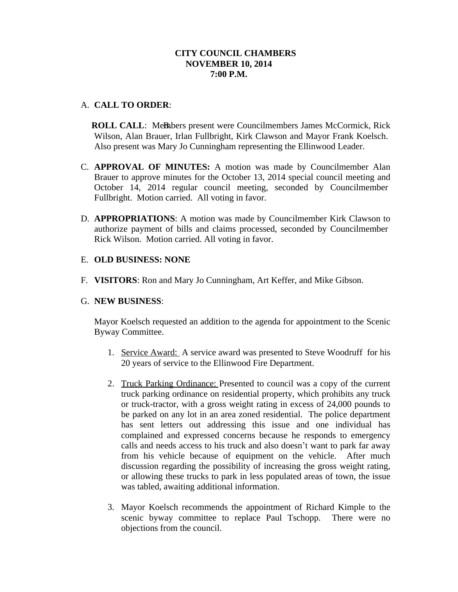# **CITY COUNCIL CHAMBERS NOVEMBER 10, 2014 7:00 P.M.**

## A. **CALL TO ORDER**:

**ROLL CALL: Members present were Councilmembers James McCormick, Rick** Wilson, Alan Brauer, Irlan Fullbright, Kirk Clawson and Mayor Frank Koelsch. Also present was Mary Jo Cunningham representing the Ellinwood Leader.

- C. **APPROVAL OF MINUTES:** A motion was made by Councilmember Alan Brauer to approve minutes for the October 13, 2014 special council meeting and October 14, 2014 regular council meeting, seconded by Councilmember Fullbright. Motion carried. All voting in favor.
- D. **APPROPRIATIONS**: A motion was made by Councilmember Kirk Clawson to authorize payment of bills and claims processed, seconded by Councilmember Rick Wilson. Motion carried. All voting in favor.

#### E. **OLD BUSINESS: NONE**

F. **VISITORS**: Ron and Mary Jo Cunningham, Art Keffer, and Mike Gibson.

### G. **NEW BUSINESS**:

Mayor Koelsch requested an addition to the agenda for appointment to the Scenic Byway Committee.

- 1. Service Award: A service award was presented to Steve Woodruff for his 20 years of service to the Ellinwood Fire Department.
- 2. Truck Parking Ordinance: Presented to council was a copy of the current truck parking ordinance on residential property, which prohibits any truck or truck-tractor, with a gross weight rating in excess of 24,000 pounds to be parked on any lot in an area zoned residential. The police department has sent letters out addressing this issue and one individual has complained and expressed concerns because he responds to emergency calls and needs access to his truck and also doesn't want to park far away from his vehicle because of equipment on the vehicle. After much discussion regarding the possibility of increasing the gross weight rating, or allowing these trucks to park in less populated areas of town, the issue was tabled, awaiting additional information.
- 3. Mayor Koelsch recommends the appointment of Richard Kimple to the scenic byway committee to replace Paul Tschopp. There were no objections from the council.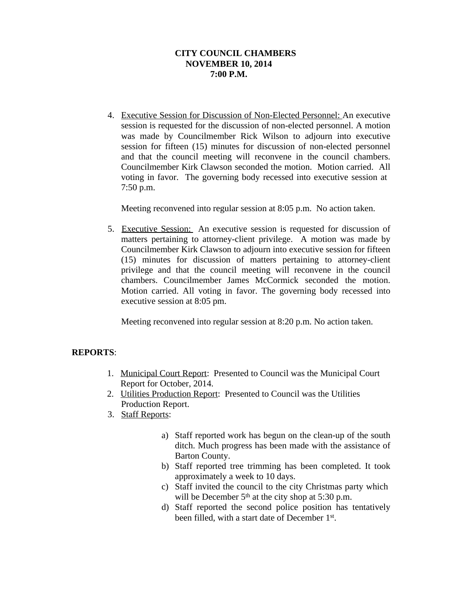# **CITY COUNCIL CHAMBERS NOVEMBER 10, 2014 7:00 P.M.**

4. Executive Session for Discussion of Non-Elected Personnel: An executive session is requested for the discussion of non-elected personnel. A motion was made by Councilmember Rick Wilson to adjourn into executive session for fifteen (15) minutes for discussion of non-elected personnel and that the council meeting will reconvene in the council chambers. Councilmember Kirk Clawson seconded the motion. Motion carried. All voting in favor. The governing body recessed into executive session at 7:50 p.m.

Meeting reconvened into regular session at 8:05 p.m. No action taken.

5. Executive Session: An executive session is requested for discussion of matters pertaining to attorney-client privilege. A motion was made by Councilmember Kirk Clawson to adjourn into executive session for fifteen (15) minutes for discussion of matters pertaining to attorney-client privilege and that the council meeting will reconvene in the council chambers. Councilmember James McCormick seconded the motion. Motion carried. All voting in favor. The governing body recessed into executive session at 8:05 pm.

Meeting reconvened into regular session at 8:20 p.m. No action taken.

## **REPORTS**:

- 1. Municipal Court Report: Presented to Council was the Municipal Court Report for October, 2014.
- 2. Utilities Production Report: Presented to Council was the Utilities Production Report.
- 3. Staff Reports:
	- a) Staff reported work has begun on the clean-up of the south ditch. Much progress has been made with the assistance of Barton County.
	- b) Staff reported tree trimming has been completed. It took approximately a week to 10 days.
	- c) Staff invited the council to the city Christmas party which will be December  $5<sup>th</sup>$  at the city shop at 5:30 p.m.
	- d) Staff reported the second police position has tentatively been filled, with a start date of December 1st.